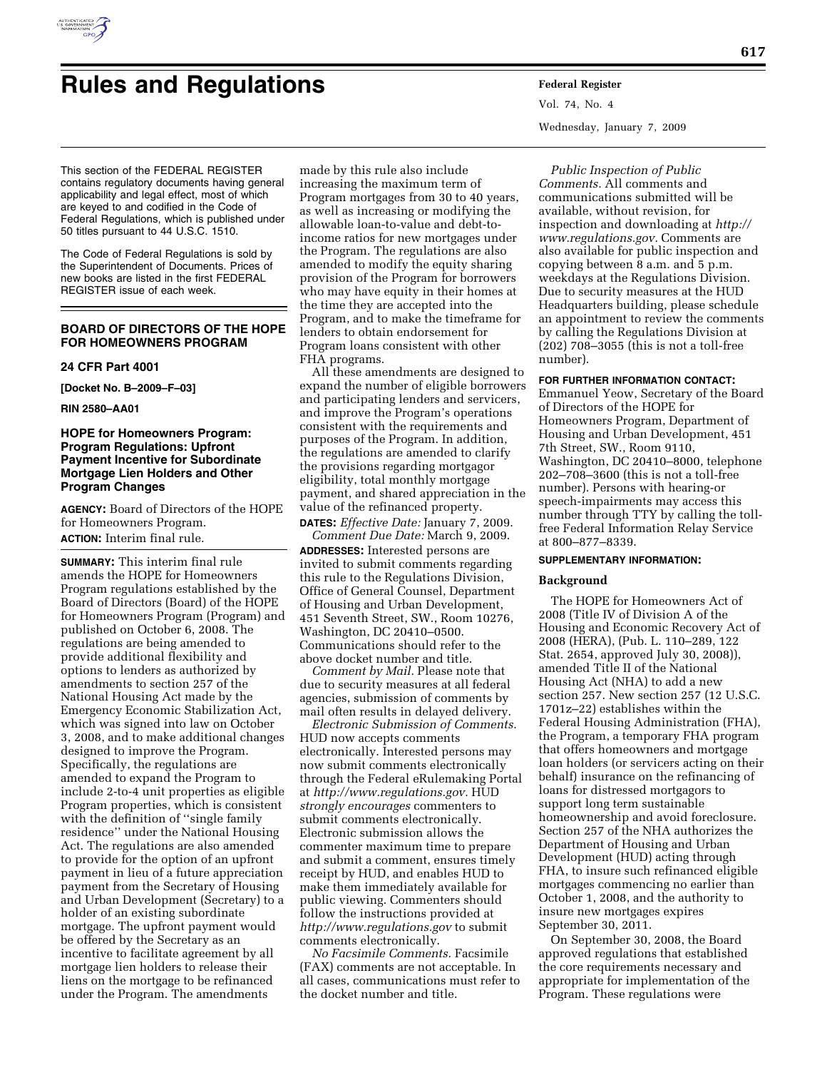

# **Rules and Regulations Federal Register**

This section of the FEDERAL REGISTER contains regulatory documents having general applicability and legal effect, most of which are keyed to and codified in the Code of Federal Regulations, which is published under 50 titles pursuant to 44 U.S.C. 1510.

The Code of Federal Regulations is sold by the Superintendent of Documents. Prices of new books are listed in the first FEDERAL REGISTER issue of each week.

## **BOARD OF DIRECTORS OF THE HOPE FOR HOMEOWNERS PROGRAM**

#### **24 CFR Part 4001**

**[Docket No. B–2009–F–03]** 

**RIN 2580–AA01** 

## **HOPE for Homeowners Program: Program Regulations: Upfront Payment Incentive for Subordinate Mortgage Lien Holders and Other Program Changes**

**AGENCY:** Board of Directors of the HOPE for Homeowners Program. **ACTION:** Interim final rule.

**SUMMARY:** This interim final rule amends the HOPE for Homeowners Program regulations established by the Board of Directors (Board) of the HOPE for Homeowners Program (Program) and published on October 6, 2008. The regulations are being amended to provide additional flexibility and options to lenders as authorized by amendments to section 257 of the National Housing Act made by the Emergency Economic Stabilization Act, which was signed into law on October 3, 2008, and to make additional changes designed to improve the Program. Specifically, the regulations are amended to expand the Program to include 2-to-4 unit properties as eligible Program properties, which is consistent with the definition of ''single family residence'' under the National Housing Act. The regulations are also amended to provide for the option of an upfront payment in lieu of a future appreciation payment from the Secretary of Housing and Urban Development (Secretary) to a holder of an existing subordinate mortgage. The upfront payment would be offered by the Secretary as an incentive to facilitate agreement by all mortgage lien holders to release their liens on the mortgage to be refinanced under the Program. The amendments

made by this rule also include increasing the maximum term of Program mortgages from 30 to 40 years, as well as increasing or modifying the allowable loan-to-value and debt-toincome ratios for new mortgages under the Program. The regulations are also amended to modify the equity sharing provision of the Program for borrowers who may have equity in their homes at the time they are accepted into the Program, and to make the timeframe for lenders to obtain endorsement for Program loans consistent with other FHA programs.

All these amendments are designed to expand the number of eligible borrowers and participating lenders and servicers, and improve the Program's operations consistent with the requirements and purposes of the Program. In addition, the regulations are amended to clarify the provisions regarding mortgagor eligibility, total monthly mortgage payment, and shared appreciation in the value of the refinanced property.

**DATES:** *Effective Date:* January 7, 2009. *Comment Due Date:* March 9, 2009.

**ADDRESSES:** Interested persons are invited to submit comments regarding this rule to the Regulations Division, Office of General Counsel, Department of Housing and Urban Development, 451 Seventh Street, SW., Room 10276, Washington, DC 20410–0500. Communications should refer to the above docket number and title.

*Comment by Mail.* Please note that due to security measures at all federal agencies, submission of comments by mail often results in delayed delivery.

*Electronic Submission of Comments.*  HUD now accepts comments electronically. Interested persons may now submit comments electronically through the Federal eRulemaking Portal at *http://www.regulations.gov.* HUD *strongly encourages* commenters to submit comments electronically. Electronic submission allows the commenter maximum time to prepare and submit a comment, ensures timely receipt by HUD, and enables HUD to make them immediately available for public viewing. Commenters should follow the instructions provided at *http://www.regulations.gov* to submit comments electronically.

*No Facsimile Comments.* Facsimile (FAX) comments are not acceptable. In all cases, communications must refer to the docket number and title.

Vol. 74, No. 4 Wednesday, January 7, 2009

*Public Inspection of Public Comments.* All comments and communications submitted will be available, without revision, for inspection and downloading at *http:// www.regulations.gov.* Comments are also available for public inspection and copying between 8 a.m. and 5 p.m. weekdays at the Regulations Division. Due to security measures at the HUD Headquarters building, please schedule an appointment to review the comments by calling the Regulations Division at (202) 708–3055 (this is not a toll-free number).

#### **FOR FURTHER INFORMATION CONTACT:**

Emmanuel Yeow, Secretary of the Board of Directors of the HOPE for Homeowners Program, Department of Housing and Urban Development, 451 7th Street, SW., Room 9110, Washington, DC 20410–8000, telephone 202–708–3600 (this is not a toll-free number). Persons with hearing-or speech-impairments may access this number through TTY by calling the tollfree Federal Information Relay Service at 800–877–8339.

#### **SUPPLEMENTARY INFORMATION:**

## **Background**

The HOPE for Homeowners Act of 2008 (Title IV of Division A of the Housing and Economic Recovery Act of 2008 (HERA), (Pub. L. 110–289, 122 Stat. 2654, approved July 30, 2008)), amended Title II of the National Housing Act (NHA) to add a new section 257. New section 257 (12 U.S.C. 1701z–22) establishes within the Federal Housing Administration (FHA), the Program, a temporary FHA program that offers homeowners and mortgage loan holders (or servicers acting on their behalf) insurance on the refinancing of loans for distressed mortgagors to support long term sustainable homeownership and avoid foreclosure. Section 257 of the NHA authorizes the Department of Housing and Urban Development (HUD) acting through FHA, to insure such refinanced eligible mortgages commencing no earlier than October 1, 2008, and the authority to insure new mortgages expires September 30, 2011.

On September 30, 2008, the Board approved regulations that established the core requirements necessary and appropriate for implementation of the Program. These regulations were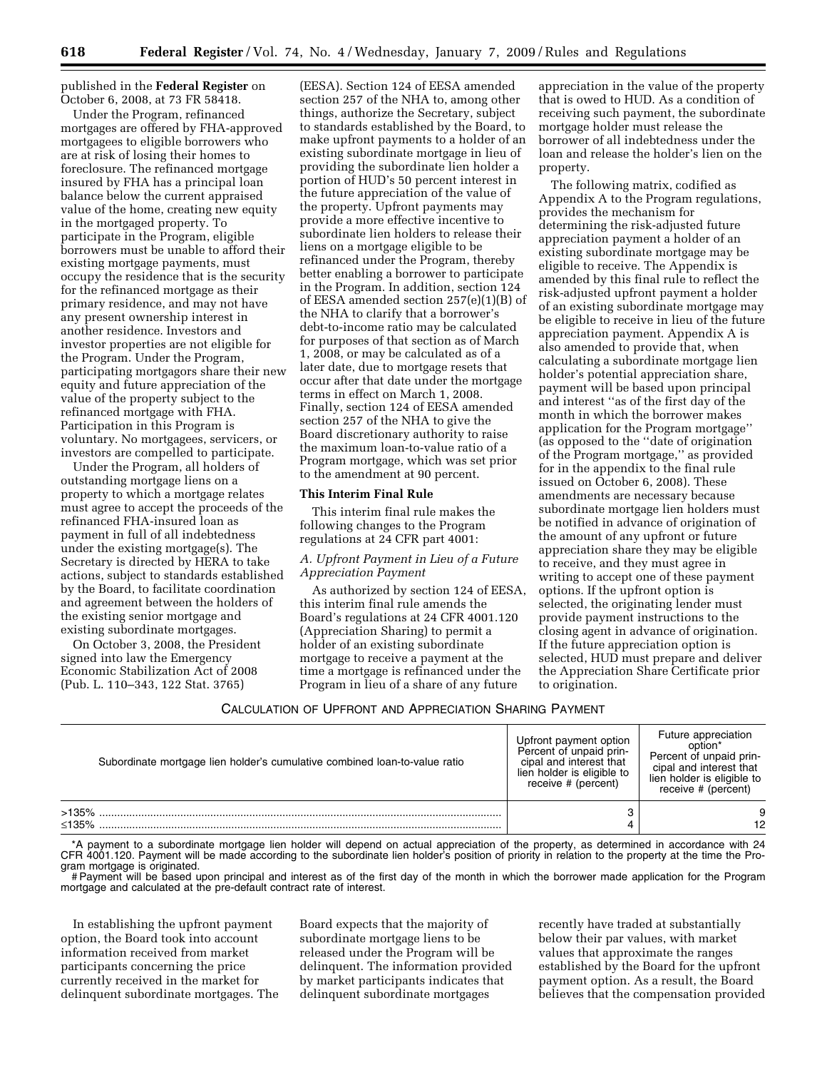published in the **Federal Register** on October 6, 2008, at 73 FR 58418.

Under the Program, refinanced mortgages are offered by FHA-approved mortgagees to eligible borrowers who are at risk of losing their homes to foreclosure. The refinanced mortgage insured by FHA has a principal loan balance below the current appraised value of the home, creating new equity in the mortgaged property. To participate in the Program, eligible borrowers must be unable to afford their existing mortgage payments, must occupy the residence that is the security for the refinanced mortgage as their primary residence, and may not have any present ownership interest in another residence. Investors and investor properties are not eligible for the Program. Under the Program, participating mortgagors share their new equity and future appreciation of the value of the property subject to the refinanced mortgage with FHA. Participation in this Program is voluntary. No mortgagees, servicers, or investors are compelled to participate.

Under the Program, all holders of outstanding mortgage liens on a property to which a mortgage relates must agree to accept the proceeds of the refinanced FHA-insured loan as payment in full of all indebtedness under the existing mortgage(s). The Secretary is directed by HERA to take actions, subject to standards established by the Board, to facilitate coordination and agreement between the holders of the existing senior mortgage and existing subordinate mortgages.

On October 3, 2008, the President signed into law the Emergency Economic Stabilization Act of 2008 (Pub. L. 110–343, 122 Stat. 3765)

(EESA). Section 124 of EESA amended section 257 of the NHA to, among other things, authorize the Secretary, subject to standards established by the Board, to make upfront payments to a holder of an existing subordinate mortgage in lieu of providing the subordinate lien holder a portion of HUD's 50 percent interest in the future appreciation of the value of the property. Upfront payments may provide a more effective incentive to subordinate lien holders to release their liens on a mortgage eligible to be refinanced under the Program, thereby better enabling a borrower to participate in the Program. In addition, section 124 of EESA amended section 257(e)(1)(B) of the NHA to clarify that a borrower's debt-to-income ratio may be calculated for purposes of that section as of March 1, 2008, or may be calculated as of a later date, due to mortgage resets that occur after that date under the mortgage terms in effect on March 1, 2008. Finally, section 124 of EESA amended section 257 of the NHA to give the Board discretionary authority to raise the maximum loan-to-value ratio of a Program mortgage, which was set prior to the amendment at 90 percent.

#### **This Interim Final Rule**

This interim final rule makes the following changes to the Program regulations at 24 CFR part 4001:

## *A. Upfront Payment in Lieu of a Future Appreciation Payment*

As authorized by section 124 of EESA, this interim final rule amends the Board's regulations at 24 CFR 4001.120 (Appreciation Sharing) to permit a holder of an existing subordinate mortgage to receive a payment at the time a mortgage is refinanced under the Program in lieu of a share of any future

appreciation in the value of the property that is owed to HUD. As a condition of receiving such payment, the subordinate mortgage holder must release the borrower of all indebtedness under the loan and release the holder's lien on the property.

The following matrix, codified as Appendix A to the Program regulations, provides the mechanism for determining the risk-adjusted future appreciation payment a holder of an existing subordinate mortgage may be eligible to receive. The Appendix is amended by this final rule to reflect the risk-adjusted upfront payment a holder of an existing subordinate mortgage may be eligible to receive in lieu of the future appreciation payment. Appendix A is also amended to provide that, when calculating a subordinate mortgage lien holder's potential appreciation share, payment will be based upon principal and interest ''as of the first day of the month in which the borrower makes application for the Program mortgage'' (as opposed to the ''date of origination of the Program mortgage,'' as provided for in the appendix to the final rule issued on October 6, 2008). These amendments are necessary because subordinate mortgage lien holders must be notified in advance of origination of the amount of any upfront or future appreciation share they may be eligible to receive, and they must agree in writing to accept one of these payment options. If the upfront option is selected, the originating lender must provide payment instructions to the closing agent in advance of origination. If the future appreciation option is selected, HUD must prepare and deliver the Appreciation Share Certificate prior to origination.

#### CALCULATION OF UPFRONT AND APPRECIATION SHARING PAYMENT

| Subordinate mortgage lien holder's cumulative combined loan-to-value ratio | Upfront payment option<br>Percent of unpaid prin-<br>cipal and interest that<br>lien holder is eligible to<br>receive # (percent) | Future appreciation<br>option*<br>Percent of unpaid prin-<br>cipal and interest that<br>lien holder is eligible to<br>receive # (percent) |
|----------------------------------------------------------------------------|-----------------------------------------------------------------------------------------------------------------------------------|-------------------------------------------------------------------------------------------------------------------------------------------|
| >135%<br>$\leq$ 135%                                                       | 3                                                                                                                                 | 12                                                                                                                                        |

\*A payment to a subordinate mortgage lien holder will depend on actual appreciation of the property, as determined in accordance with 24 CFR 4001.120. Payment will be made according to the subordinate lien holder's position of priority in relation to the property at the time the Program mortgage is originated.

# Payment will be based upon principal and interest as of the first day of the month in which the borrower made application for the Program mortgage and calculated at the pre-default contract rate of interest.

In establishing the upfront payment option, the Board took into account information received from market participants concerning the price currently received in the market for delinquent subordinate mortgages. The Board expects that the majority of subordinate mortgage liens to be released under the Program will be delinquent. The information provided by market participants indicates that delinquent subordinate mortgages

recently have traded at substantially below their par values, with market values that approximate the ranges established by the Board for the upfront payment option. As a result, the Board believes that the compensation provided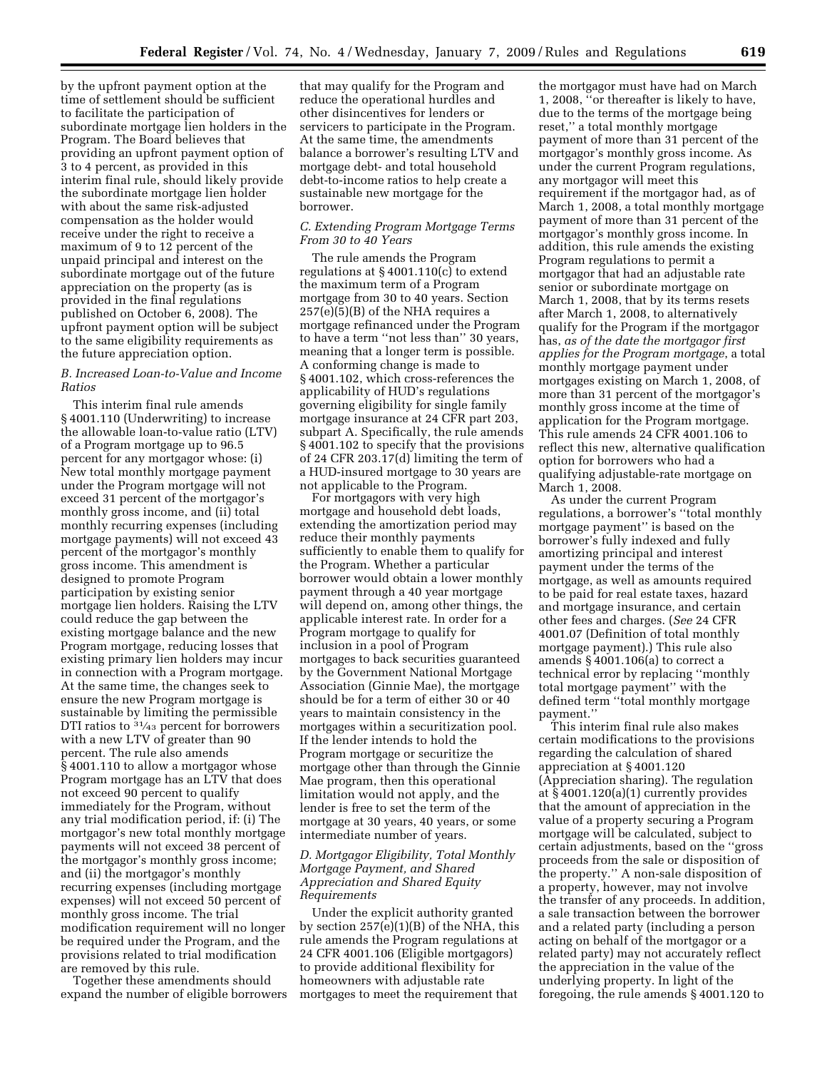by the upfront payment option at the time of settlement should be sufficient to facilitate the participation of subordinate mortgage lien holders in the Program. The Board believes that providing an upfront payment option of 3 to 4 percent, as provided in this interim final rule, should likely provide the subordinate mortgage lien holder with about the same risk-adjusted compensation as the holder would receive under the right to receive a maximum of 9 to 12 percent of the unpaid principal and interest on the subordinate mortgage out of the future appreciation on the property (as is provided in the final regulations published on October 6, 2008). The upfront payment option will be subject to the same eligibility requirements as the future appreciation option.

## *B. Increased Loan-to-Value and Income Ratios*

This interim final rule amends § 4001.110 (Underwriting) to increase the allowable loan-to-value ratio (LTV) of a Program mortgage up to 96.5 percent for any mortgagor whose: (i) New total monthly mortgage payment under the Program mortgage will not exceed 31 percent of the mortgagor's monthly gross income, and (ii) total monthly recurring expenses (including mortgage payments) will not exceed 43 percent of the mortgagor's monthly gross income. This amendment is designed to promote Program participation by existing senior mortgage lien holders. Raising the LTV could reduce the gap between the existing mortgage balance and the new Program mortgage, reducing losses that existing primary lien holders may incur in connection with a Program mortgage. At the same time, the changes seek to ensure the new Program mortgage is sustainable by limiting the permissible DTI ratios to <sup>31/43</sup> percent for borrowers with a new LTV of greater than 90 percent. The rule also amends § 4001.110 to allow a mortgagor whose Program mortgage has an LTV that does not exceed 90 percent to qualify immediately for the Program, without any trial modification period, if: (i) The mortgagor's new total monthly mortgage payments will not exceed 38 percent of the mortgagor's monthly gross income; and (ii) the mortgagor's monthly recurring expenses (including mortgage expenses) will not exceed 50 percent of monthly gross income. The trial modification requirement will no longer be required under the Program, and the provisions related to trial modification are removed by this rule.

Together these amendments should expand the number of eligible borrowers

that may qualify for the Program and reduce the operational hurdles and other disincentives for lenders or servicers to participate in the Program. At the same time, the amendments balance a borrower's resulting LTV and mortgage debt- and total household debt-to-income ratios to help create a sustainable new mortgage for the borrower.

## *C. Extending Program Mortgage Terms From 30 to 40 Years*

The rule amends the Program regulations at § 4001.110(c) to extend the maximum term of a Program mortgage from 30 to 40 years. Section  $257(e)(5)(B)$  of the NHA requires a mortgage refinanced under the Program to have a term ''not less than'' 30 years, meaning that a longer term is possible. A conforming change is made to § 4001.102, which cross-references the applicability of HUD's regulations governing eligibility for single family mortgage insurance at 24 CFR part 203, subpart A. Specifically, the rule amends § 4001.102 to specify that the provisions of 24 CFR 203.17(d) limiting the term of a HUD-insured mortgage to 30 years are not applicable to the Program.

For mortgagors with very high mortgage and household debt loads, extending the amortization period may reduce their monthly payments sufficiently to enable them to qualify for the Program. Whether a particular borrower would obtain a lower monthly payment through a 40 year mortgage will depend on, among other things, the applicable interest rate. In order for a Program mortgage to qualify for inclusion in a pool of Program mortgages to back securities guaranteed by the Government National Mortgage Association (Ginnie Mae), the mortgage should be for a term of either 30 or 40 years to maintain consistency in the mortgages within a securitization pool. If the lender intends to hold the Program mortgage or securitize the mortgage other than through the Ginnie Mae program, then this operational limitation would not apply, and the lender is free to set the term of the mortgage at 30 years, 40 years, or some intermediate number of years.

## *D. Mortgagor Eligibility, Total Monthly Mortgage Payment, and Shared Appreciation and Shared Equity Requirements*

Under the explicit authority granted by section  $257(e)(1)(B)$  of the NHA, this rule amends the Program regulations at 24 CFR 4001.106 (Eligible mortgagors) to provide additional flexibility for homeowners with adjustable rate mortgages to meet the requirement that

the mortgagor must have had on March 1, 2008, ''or thereafter is likely to have, due to the terms of the mortgage being reset,'' a total monthly mortgage payment of more than 31 percent of the mortgagor's monthly gross income. As under the current Program regulations, any mortgagor will meet this requirement if the mortgagor had, as of March 1, 2008, a total monthly mortgage payment of more than 31 percent of the mortgagor's monthly gross income. In addition, this rule amends the existing Program regulations to permit a mortgagor that had an adjustable rate senior or subordinate mortgage on March 1, 2008, that by its terms resets after March 1, 2008, to alternatively qualify for the Program if the mortgagor has, *as of the date the mortgagor first applies for the Program mortgage*, a total monthly mortgage payment under mortgages existing on March 1, 2008, of more than 31 percent of the mortgagor's monthly gross income at the time of application for the Program mortgage. This rule amends 24 CFR 4001.106 to reflect this new, alternative qualification option for borrowers who had a qualifying adjustable-rate mortgage on March 1, 2008.

As under the current Program regulations, a borrower's ''total monthly mortgage payment'' is based on the borrower's fully indexed and fully amortizing principal and interest payment under the terms of the mortgage, as well as amounts required to be paid for real estate taxes, hazard and mortgage insurance, and certain other fees and charges. (*See* 24 CFR 4001.07 (Definition of total monthly mortgage payment).) This rule also amends § 4001.106(a) to correct a technical error by replacing ''monthly total mortgage payment'' with the defined term ''total monthly mortgage payment.''

This interim final rule also makes certain modifications to the provisions regarding the calculation of shared appreciation at § 4001.120 (Appreciation sharing). The regulation at § 4001.120(a)(1) currently provides that the amount of appreciation in the value of a property securing a Program mortgage will be calculated, subject to certain adjustments, based on the ''gross proceeds from the sale or disposition of the property.'' A non-sale disposition of a property, however, may not involve the transfer of any proceeds. In addition, a sale transaction between the borrower and a related party (including a person acting on behalf of the mortgagor or a related party) may not accurately reflect the appreciation in the value of the underlying property. In light of the foregoing, the rule amends § 4001.120 to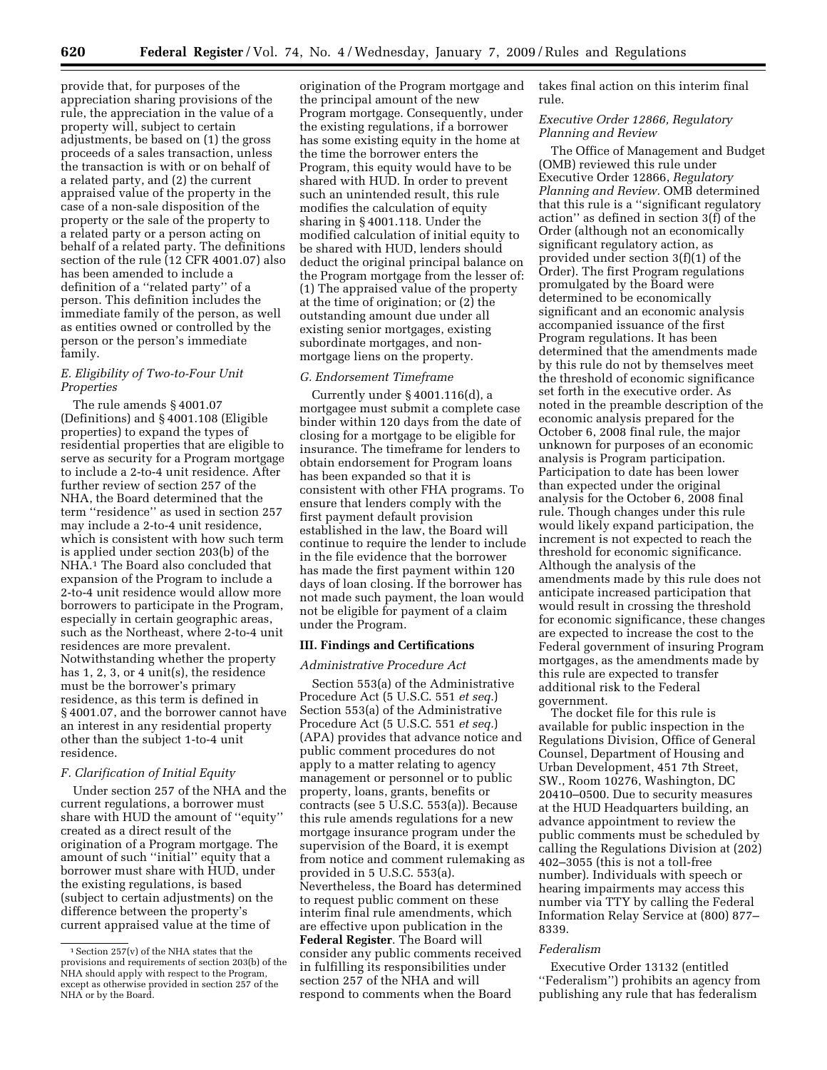provide that, for purposes of the appreciation sharing provisions of the rule, the appreciation in the value of a property will, subject to certain adjustments, be based on (1) the gross proceeds of a sales transaction, unless the transaction is with or on behalf of a related party, and (2) the current appraised value of the property in the case of a non-sale disposition of the property or the sale of the property to a related party or a person acting on behalf of a related party. The definitions section of the rule (12 CFR 4001.07) also has been amended to include a definition of a ''related party'' of a person. This definition includes the immediate family of the person, as well as entities owned or controlled by the person or the person's immediate family.

## *E. Eligibility of Two-to-Four Unit Properties*

The rule amends § 4001.07 (Definitions) and § 4001.108 (Eligible properties) to expand the types of residential properties that are eligible to serve as security for a Program mortgage to include a 2-to-4 unit residence. After further review of section 257 of the NHA, the Board determined that the term ''residence'' as used in section 257 may include a 2-to-4 unit residence, which is consistent with how such term is applied under section 203(b) of the NHA.1 The Board also concluded that expansion of the Program to include a 2-to-4 unit residence would allow more borrowers to participate in the Program, especially in certain geographic areas, such as the Northeast, where 2-to-4 unit residences are more prevalent. Notwithstanding whether the property has 1, 2, 3, or 4 unit(s), the residence must be the borrower's primary residence, as this term is defined in § 4001.07, and the borrower cannot have an interest in any residential property other than the subject 1-to-4 unit residence.

## *F. Clarification of Initial Equity*

Under section 257 of the NHA and the current regulations, a borrower must share with HUD the amount of ''equity'' created as a direct result of the origination of a Program mortgage. The amount of such ''initial'' equity that a borrower must share with HUD, under the existing regulations, is based (subject to certain adjustments) on the difference between the property's current appraised value at the time of

origination of the Program mortgage and the principal amount of the new Program mortgage. Consequently, under the existing regulations, if a borrower has some existing equity in the home at the time the borrower enters the Program, this equity would have to be shared with HUD. In order to prevent such an unintended result, this rule modifies the calculation of equity sharing in § 4001.118. Under the modified calculation of initial equity to be shared with HUD, lenders should deduct the original principal balance on the Program mortgage from the lesser of: (1) The appraised value of the property at the time of origination; or (2) the outstanding amount due under all existing senior mortgages, existing subordinate mortgages, and nonmortgage liens on the property.

## *G. Endorsement Timeframe*

Currently under § 4001.116(d), a mortgagee must submit a complete case binder within 120 days from the date of closing for a mortgage to be eligible for insurance. The timeframe for lenders to obtain endorsement for Program loans has been expanded so that it is consistent with other FHA programs. To ensure that lenders comply with the first payment default provision established in the law, the Board will continue to require the lender to include in the file evidence that the borrower has made the first payment within 120 days of loan closing. If the borrower has not made such payment, the loan would not be eligible for payment of a claim under the Program.

## **III. Findings and Certifications**

#### *Administrative Procedure Act*

Section 553(a) of the Administrative Procedure Act (5 U.S.C. 551 *et seq.*) Section 553(a) of the Administrative Procedure Act (5 U.S.C. 551 *et seq.*) (APA) provides that advance notice and public comment procedures do not apply to a matter relating to agency management or personnel or to public property, loans, grants, benefits or contracts (see 5 U.S.C. 553(a)). Because this rule amends regulations for a new mortgage insurance program under the supervision of the Board, it is exempt from notice and comment rulemaking as provided in 5 U.S.C. 553(a). Nevertheless, the Board has determined to request public comment on these interim final rule amendments, which are effective upon publication in the **Federal Register**. The Board will consider any public comments received in fulfilling its responsibilities under section 257 of the NHA and will respond to comments when the Board

takes final action on this interim final rule.

## *Executive Order 12866, Regulatory Planning and Review*

The Office of Management and Budget (OMB) reviewed this rule under Executive Order 12866, *Regulatory Planning and Review.* OMB determined that this rule is a ''significant regulatory action'' as defined in section 3(f) of the Order (although not an economically significant regulatory action, as provided under section 3(f)(1) of the Order). The first Program regulations promulgated by the Board were determined to be economically significant and an economic analysis accompanied issuance of the first Program regulations. It has been determined that the amendments made by this rule do not by themselves meet the threshold of economic significance set forth in the executive order. As noted in the preamble description of the economic analysis prepared for the October 6, 2008 final rule, the major unknown for purposes of an economic analysis is Program participation. Participation to date has been lower than expected under the original analysis for the October 6, 2008 final rule. Though changes under this rule would likely expand participation, the increment is not expected to reach the threshold for economic significance. Although the analysis of the amendments made by this rule does not anticipate increased participation that would result in crossing the threshold for economic significance, these changes are expected to increase the cost to the Federal government of insuring Program mortgages, as the amendments made by this rule are expected to transfer additional risk to the Federal government.

The docket file for this rule is available for public inspection in the Regulations Division, Office of General Counsel, Department of Housing and Urban Development, 451 7th Street, SW., Room 10276, Washington, DC 20410–0500. Due to security measures at the HUD Headquarters building, an advance appointment to review the public comments must be scheduled by calling the Regulations Division at (202) 402–3055 (this is not a toll-free number). Individuals with speech or hearing impairments may access this number via TTY by calling the Federal Information Relay Service at (800) 877– 8339.

## *Federalism*

Executive Order 13132 (entitled ''Federalism'') prohibits an agency from publishing any rule that has federalism

<sup>1</sup>Section 257(v) of the NHA states that the provisions and requirements of section 203(b) of the NHA should apply with respect to the Program, except as otherwise provided in section 257 of the NHA or by the Board.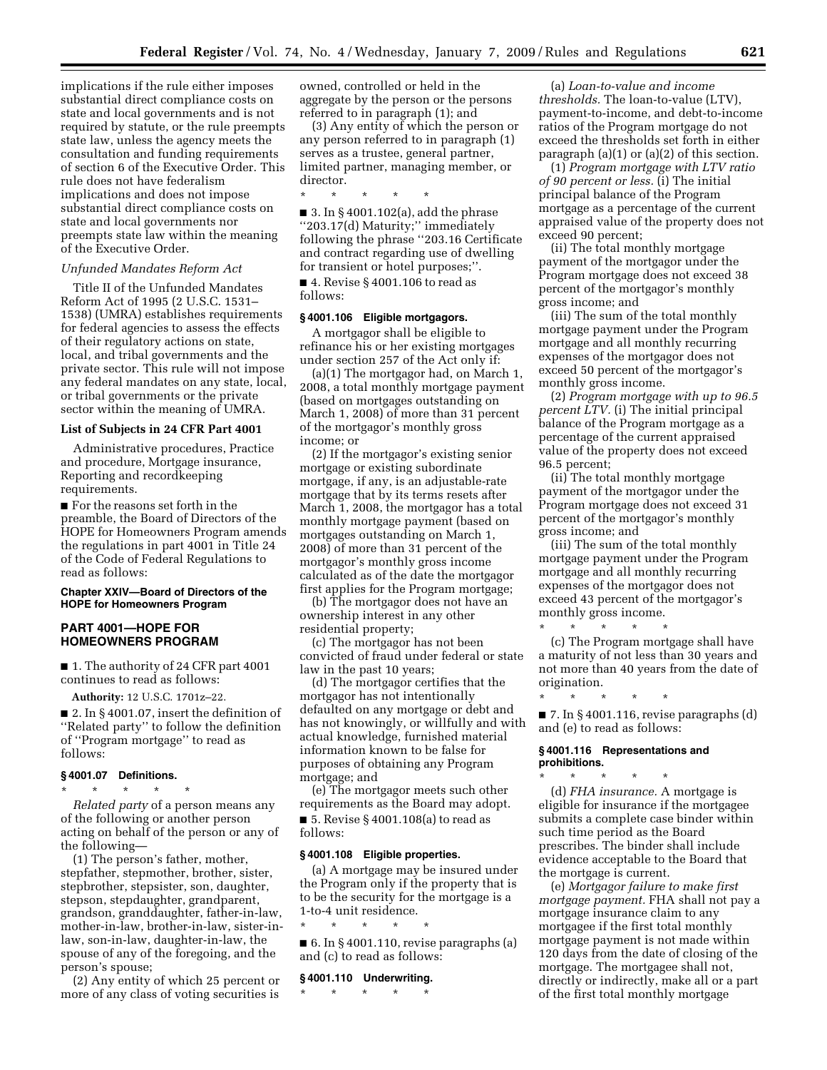implications if the rule either imposes substantial direct compliance costs on state and local governments and is not required by statute, or the rule preempts state law, unless the agency meets the consultation and funding requirements of section 6 of the Executive Order. This rule does not have federalism implications and does not impose substantial direct compliance costs on state and local governments nor preempts state law within the meaning of the Executive Order.

#### *Unfunded Mandates Reform Act*

Title II of the Unfunded Mandates Reform Act of 1995 (2 U.S.C. 1531– 1538) (UMRA) establishes requirements for federal agencies to assess the effects of their regulatory actions on state, local, and tribal governments and the private sector. This rule will not impose any federal mandates on any state, local, or tribal governments or the private sector within the meaning of UMRA.

#### **List of Subjects in 24 CFR Part 4001**

Administrative procedures, Practice and procedure, Mortgage insurance, Reporting and recordkeeping requirements.

■ For the reasons set forth in the preamble, the Board of Directors of the HOPE for Homeowners Program amends the regulations in part 4001 in Title 24 of the Code of Federal Regulations to read as follows:

#### **Chapter XXIV—Board of Directors of the HOPE for Homeowners Program**

## **PART 4001—HOPE FOR HOMEOWNERS PROGRAM**

■ 1. The authority of 24 CFR part 4001 continues to read as follows:

**Authority:** 12 U.S.C. 1701z–22.

■ 2. In §4001.07, insert the definition of ''Related party'' to follow the definition of ''Program mortgage'' to read as follows:

#### **§ 4001.07 Definitions.**

\* \* \* \* \* *Related party* of a person means any of the following or another person acting on behalf of the person or any of the following—

(1) The person's father, mother, stepfather, stepmother, brother, sister, stepbrother, stepsister, son, daughter, stepson, stepdaughter, grandparent, grandson, granddaughter, father-in-law, mother-in-law, brother-in-law, sister-inlaw, son-in-law, daughter-in-law, the spouse of any of the foregoing, and the person's spouse;

(2) Any entity of which 25 percent or more of any class of voting securities is owned, controlled or held in the aggregate by the person or the persons referred to in paragraph (1); and

(3) Any entity of which the person or any person referred to in paragraph (1) serves as a trustee, general partner, limited partner, managing member, or director.

\* \* \* \* \* ■ 3. In § 4001.102(a), add the phrase ''203.17(d) Maturity;'' immediately following the phrase ''203.16 Certificate and contract regarding use of dwelling for transient or hotel purposes;''.

■ 4. Revise § 4001.106 to read as follows:

#### **§ 4001.106 Eligible mortgagors.**

A mortgagor shall be eligible to refinance his or her existing mortgages under section 257 of the Act only if:

(a)(1) The mortgagor had, on March 1, 2008, a total monthly mortgage payment (based on mortgages outstanding on March 1, 2008) of more than 31 percent of the mortgagor's monthly gross income; or

(2) If the mortgagor's existing senior mortgage or existing subordinate mortgage, if any, is an adjustable-rate mortgage that by its terms resets after March 1, 2008, the mortgagor has a total monthly mortgage payment (based on mortgages outstanding on March 1, 2008) of more than 31 percent of the mortgagor's monthly gross income calculated as of the date the mortgagor first applies for the Program mortgage;

(b) The mortgagor does not have an ownership interest in any other residential property;

(c) The mortgagor has not been convicted of fraud under federal or state law in the past 10 years;

(d) The mortgagor certifies that the mortgagor has not intentionally defaulted on any mortgage or debt and has not knowingly, or willfully and with actual knowledge, furnished material information known to be false for purposes of obtaining any Program mortgage; and

(e) The mortgagor meets such other requirements as the Board may adopt.

■ 5. Revise § 4001.108(a) to read as follows:

#### **§ 4001.108 Eligible properties.**

(a) A mortgage may be insured under the Program only if the property that is to be the security for the mortgage is a 1-to-4 unit residence.

\* \* \* \* \* ■ 6. In § 4001.110, revise paragraphs (a) and (c) to read as follows:

#### **§ 4001.110 Underwriting.**

\* \* \* \* \*

(a) *Loan-to-value and income thresholds.* The loan-to-value (LTV), payment-to-income, and debt-to-income ratios of the Program mortgage do not exceed the thresholds set forth in either paragraph (a)(1) or (a)(2) of this section.

(1) *Program mortgage with LTV ratio of 90 percent or less.* (i) The initial principal balance of the Program mortgage as a percentage of the current appraised value of the property does not exceed 90 percent;

(ii) The total monthly mortgage payment of the mortgagor under the Program mortgage does not exceed 38 percent of the mortgagor's monthly gross income; and

(iii) The sum of the total monthly mortgage payment under the Program mortgage and all monthly recurring expenses of the mortgagor does not exceed 50 percent of the mortgagor's monthly gross income.

(2) *Program mortgage with up to 96.5 percent LTV.* (i) The initial principal balance of the Program mortgage as a percentage of the current appraised value of the property does not exceed 96.5 percent;

(ii) The total monthly mortgage payment of the mortgagor under the Program mortgage does not exceed 31 percent of the mortgagor's monthly gross income; and

(iii) The sum of the total monthly mortgage payment under the Program mortgage and all monthly recurring expenses of the mortgagor does not exceed 43 percent of the mortgagor's monthly gross income.

\* \* \* \* \*

\* \* \* \* \*

(c) The Program mortgage shall have a maturity of not less than 30 years and not more than 40 years from the date of origination.

\* \* \* \* \*  $\blacksquare$  7. In § 4001.116, revise paragraphs (d) and (e) to read as follows:

### **§ 4001.116 Representations and prohibitions.**

(d) *FHA insurance.* A mortgage is eligible for insurance if the mortgagee submits a complete case binder within such time period as the Board prescribes. The binder shall include evidence acceptable to the Board that the mortgage is current.

(e) *Mortgagor failure to make first mortgage payment.* FHA shall not pay a mortgage insurance claim to any mortgagee if the first total monthly mortgage payment is not made within 120 days from the date of closing of the mortgage. The mortgagee shall not, directly or indirectly, make all or a part of the first total monthly mortgage